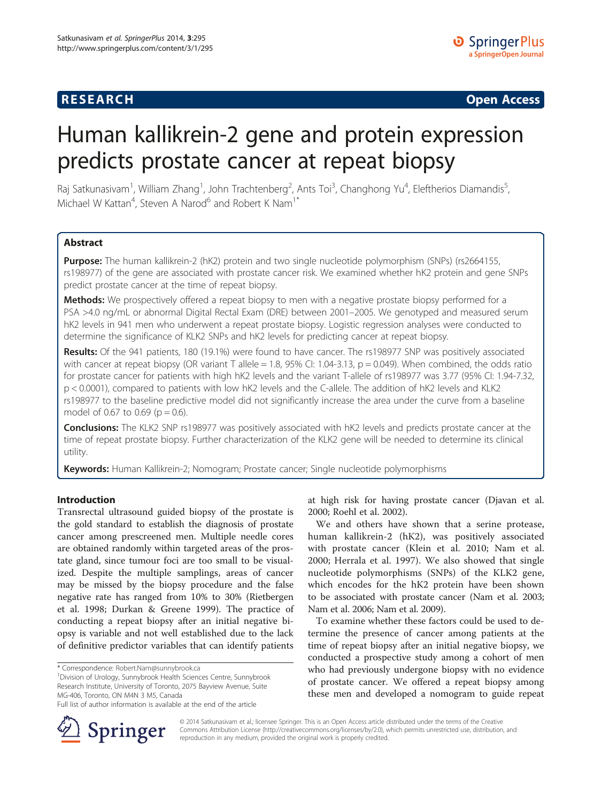# **RESEARCH CHE Open Access**

# Human kallikrein-2 gene and protein expression predicts prostate cancer at repeat biopsy

Raj Satkunasivam<sup>1</sup>, William Zhang<sup>1</sup>, John Trachtenberg<sup>2</sup>, Ants Toi<sup>3</sup>, Changhong Yu<sup>4</sup>, Eleftherios Diamandis<sup>5</sup> , Michael W Kattan<sup>4</sup>, Steven A Narod<sup>6</sup> and Robert K Nam<sup>1\*</sup>

# **Abstract**

Purpose: The human kallikrein-2 (hK2) protein and two single nucleotide polymorphism (SNPs) (rs2664155, rs198977) of the gene are associated with prostate cancer risk. We examined whether hK2 protein and gene SNPs predict prostate cancer at the time of repeat biopsy.

Methods: We prospectively offered a repeat biopsy to men with a negative prostate biopsy performed for a PSA >4.0 ng/mL or abnormal Digital Rectal Exam (DRE) between 2001–2005. We genotyped and measured serum hK2 levels in 941 men who underwent a repeat prostate biopsy. Logistic regression analyses were conducted to determine the significance of KLK2 SNPs and hK2 levels for predicting cancer at repeat biopsy.

Results: Of the 941 patients, 180 (19.1%) were found to have cancer. The rs198977 SNP was positively associated with cancer at repeat biopsy (OR variant T allele = 1.8, 95% CI: 1.04-3.13,  $p = 0.049$ ). When combined, the odds ratio for prostate cancer for patients with high hK2 levels and the variant T-allele of rs198977 was 3.77 (95% CI: 1.94-7.32, p < 0.0001), compared to patients with low hK2 levels and the C-allele. The addition of hK2 levels and KLK2 rs198977 to the baseline predictive model did not significantly increase the area under the curve from a baseline model of 0.67 to 0.69 ( $p = 0.6$ ).

**Conclusions:** The KLK2 SNP rs198977 was positively associated with hK2 levels and predicts prostate cancer at the time of repeat prostate biopsy. Further characterization of the KLK2 gene will be needed to determine its clinical utility.

Keywords: Human Kallikrein-2; Nomogram; Prostate cancer; Single nucleotide polymorphisms

# Introduction

Transrectal ultrasound guided biopsy of the prostate is the gold standard to establish the diagnosis of prostate cancer among prescreened men. Multiple needle cores are obtained randomly within targeted areas of the prostate gland, since tumour foci are too small to be visualized. Despite the multiple samplings, areas of cancer may be missed by the biopsy procedure and the false negative rate has ranged from 10% to 30% (Rietbergen et al. [1998](#page-6-0); Durkan & Greene [1999](#page-6-0)). The practice of conducting a repeat biopsy after an initial negative biopsy is variable and not well established due to the lack of definitive predictor variables that can identify patients

Division of Urology, Sunnybrook Health Sciences Centre, Sunnybrook Research Institute, University of Toronto, 2075 Bayview Avenue, Suite MG-406, Toronto, ON M4N 3 M5, Canada



We and others have shown that a serine protease, human kallikrein-2 (hK2), was positively associated with prostate cancer (Klein et al. [2010](#page-6-0); Nam et al. [2000;](#page-6-0) Herrala et al. [1997](#page-6-0)). We also showed that single nucleotide polymorphisms (SNPs) of the KLK2 gene, which encodes for the hK2 protein have been shown to be associated with prostate cancer (Nam et al. [2003](#page-6-0); Nam et al. [2006;](#page-6-0) Nam et al. [2009\)](#page-6-0).

To examine whether these factors could be used to determine the presence of cancer among patients at the time of repeat biopsy after an initial negative biopsy, we conducted a prospective study among a cohort of men who had previously undergone biopsy with no evidence of prostate cancer. We offered a repeat biopsy among these men and developed a nomogram to guide repeat



© 2014 Satkunasivam et al.; licensee Springer. This is an Open Access article distributed under the terms of the Creative Commons Attribution License (<http://creativecommons.org/licenses/by/2.0>), which permits unrestricted use, distribution, and reproduction in any medium, provided the original work is properly credited.

<sup>\*</sup> Correspondence: [Robert.Nam@sunnybrook.ca](mailto:Robert.Nam@sunnybrook.ca) <sup>1</sup>

Full list of author information is available at the end of the article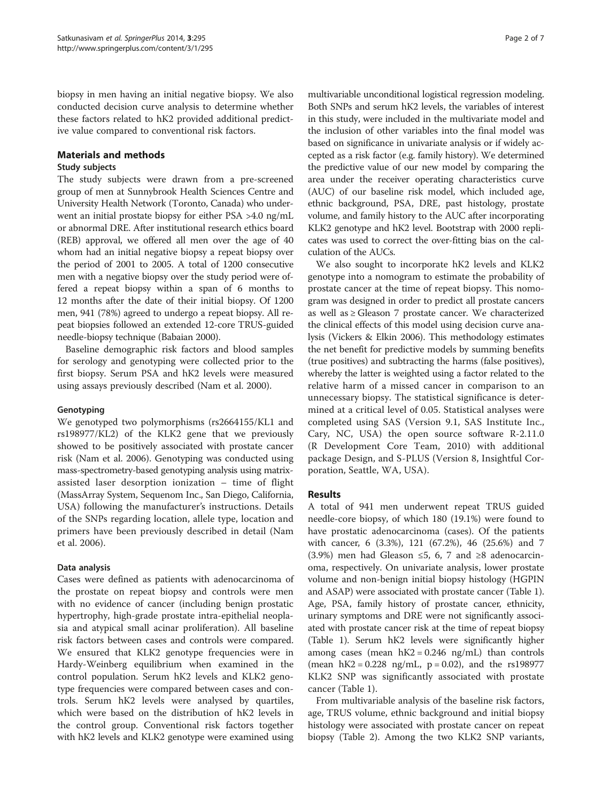biopsy in men having an initial negative biopsy. We also conducted decision curve analysis to determine whether these factors related to hK2 provided additional predictive value compared to conventional risk factors.

#### Materials and methods

# Study subjects

The study subjects were drawn from a pre-screened group of men at Sunnybrook Health Sciences Centre and University Health Network (Toronto, Canada) who underwent an initial prostate biopsy for either PSA >4.0 ng/mL or abnormal DRE. After institutional research ethics board (REB) approval, we offered all men over the age of 40 whom had an initial negative biopsy a repeat biopsy over the period of 2001 to 2005. A total of 1200 consecutive men with a negative biopsy over the study period were offered a repeat biopsy within a span of 6 months to 12 months after the date of their initial biopsy. Of 1200 men, 941 (78%) agreed to undergo a repeat biopsy. All repeat biopsies followed an extended 12-core TRUS-guided needle-biopsy technique (Babaian [2000\)](#page-6-0).

Baseline demographic risk factors and blood samples for serology and genotyping were collected prior to the first biopsy. Serum PSA and hK2 levels were measured using assays previously described (Nam et al. [2000\)](#page-6-0).

# Genotyping

We genotyped two polymorphisms (rs2664155/KL1 and rs198977/KL2) of the KLK2 gene that we previously showed to be positively associated with prostate cancer risk (Nam et al. [2006\)](#page-6-0). Genotyping was conducted using mass-spectrometry-based genotyping analysis using matrixassisted laser desorption ionization – time of flight (MassArray System, Sequenom Inc., San Diego, California, USA) following the manufacturer's instructions. Details of the SNPs regarding location, allele type, location and primers have been previously described in detail (Nam et al. [2006](#page-6-0)).

#### Data analysis

Cases were defined as patients with adenocarcinoma of the prostate on repeat biopsy and controls were men with no evidence of cancer (including benign prostatic hypertrophy, high-grade prostate intra-epithelial neoplasia and atypical small acinar proliferation). All baseline risk factors between cases and controls were compared. We ensured that KLK2 genotype frequencies were in Hardy-Weinberg equilibrium when examined in the control population. Serum hK2 levels and KLK2 genotype frequencies were compared between cases and controls. Serum hK2 levels were analysed by quartiles, which were based on the distribution of hK2 levels in the control group. Conventional risk factors together with hK2 levels and KLK2 genotype were examined using

multivariable unconditional logistical regression modeling. Both SNPs and serum hK2 levels, the variables of interest in this study, were included in the multivariate model and the inclusion of other variables into the final model was based on significance in univariate analysis or if widely accepted as a risk factor (e.g. family history). We determined the predictive value of our new model by comparing the area under the receiver operating characteristics curve (AUC) of our baseline risk model, which included age, ethnic background, PSA, DRE, past histology, prostate volume, and family history to the AUC after incorporating KLK2 genotype and hK2 level. Bootstrap with 2000 replicates was used to correct the over-fitting bias on the calculation of the AUCs.

We also sought to incorporate hK2 levels and KLK2 genotype into a nomogram to estimate the probability of prostate cancer at the time of repeat biopsy. This nomogram was designed in order to predict all prostate cancers as well as ≥ Gleason 7 prostate cancer. We characterized the clinical effects of this model using decision curve analysis (Vickers & Elkin [2006\)](#page-6-0). This methodology estimates the net benefit for predictive models by summing benefits (true positives) and subtracting the harms (false positives), whereby the latter is weighted using a factor related to the relative harm of a missed cancer in comparison to an unnecessary biopsy. The statistical significance is determined at a critical level of 0.05. Statistical analyses were completed using SAS (Version 9.1, SAS Institute Inc., Cary, NC, USA) the open source software R-2.11.0 (R Development Core Team, 2010) with additional package Design, and S-PLUS (Version 8, Insightful Corporation, Seattle, WA, USA).

# Results

A total of 941 men underwent repeat TRUS guided needle-core biopsy, of which 180 (19.1%) were found to have prostatic adenocarcinoma (cases). Of the patients with cancer, 6 (3.3%), 121 (67.2%), 46 (25.6%) and 7 (3.9%) men had Gleason ≤5, 6, 7 and ≥8 adenocarcinoma, respectively. On univariate analysis, lower prostate volume and non-benign initial biopsy histology (HGPIN and ASAP) were associated with prostate cancer (Table [1](#page-2-0)). Age, PSA, family history of prostate cancer, ethnicity, urinary symptoms and DRE were not significantly associated with prostate cancer risk at the time of repeat biopsy (Table [1](#page-2-0)). Serum hK2 levels were significantly higher among cases (mean  $hK2 = 0.246$  ng/mL) than controls (mean  $hK2 = 0.228$  ng/mL,  $p = 0.02$ ), and the rs198977 KLK2 SNP was significantly associated with prostate cancer (Table [1](#page-2-0)).

From multivariable analysis of the baseline risk factors, age, TRUS volume, ethnic background and initial biopsy histology were associated with prostate cancer on repeat biopsy (Table [2\)](#page-3-0). Among the two KLK2 SNP variants,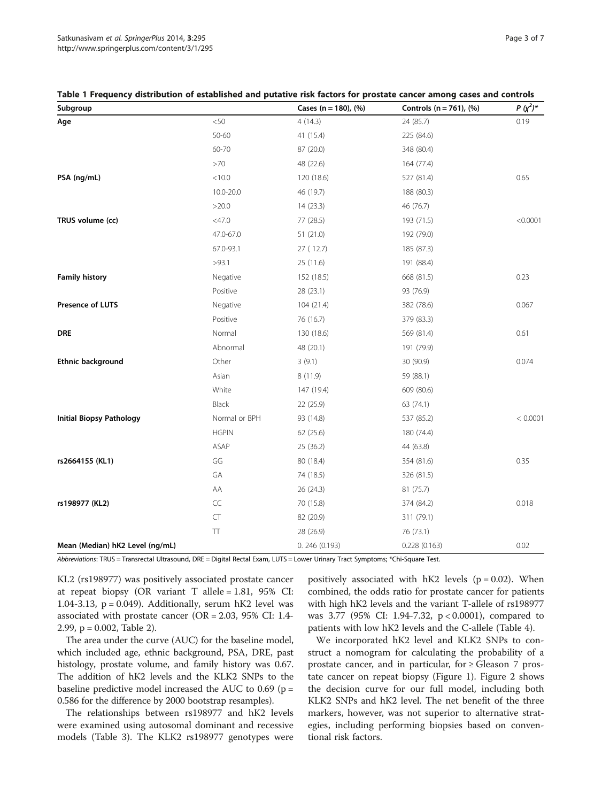| Subgroup                        |                           | Cases (n = 180), $(\% )$ | Controls ( $n = 761$ ), (%) | $P (x^2)^*$ |
|---------------------------------|---------------------------|--------------------------|-----------------------------|-------------|
| Age                             | $<\!\!50$                 | 4(14.3)                  | 24 (85.7)                   | 0.19        |
|                                 | 50-60                     | 41 (15.4)                | 225 (84.6)                  |             |
|                                 | 60-70                     | 87 (20.0)                | 348 (80.4)                  |             |
|                                 | >70                       | 48 (22.6)                | 164 (77.4)                  |             |
| PSA (ng/mL)                     | < 10.0                    | 120 (18.6)               | 527 (81.4)                  | 0.65        |
|                                 | 10.0-20.0                 | 46 (19.7)                | 188 (80.3)                  |             |
|                                 | >20.0                     | 14(23.3)                 | 46 (76.7)                   |             |
| TRUS volume (cc)                | $<$ 47.0                  | 77 (28.5)                | 193 (71.5)                  | < 0.0001    |
|                                 | 47.0-67.0                 | 51(21.0)                 | 192 (79.0)                  |             |
|                                 | 67.0-93.1                 | 27 (12.7)                | 185 (87.3)                  |             |
|                                 | >93.1                     | 25(11.6)                 | 191 (88.4)                  |             |
| <b>Family history</b>           | Negative                  | 152 (18.5)               | 668 (81.5)                  | 0.23        |
|                                 | Positive                  | 28 (23.1)                | 93 (76.9)                   |             |
| Presence of LUTS                | Negative                  | 104(21.4)                | 382 (78.6)                  | 0.067       |
|                                 | Positive                  | 76 (16.7)                | 379 (83.3)                  |             |
| DRE                             | Normal                    | 130 (18.6)               | 569 (81.4)                  | 0.61        |
|                                 | Abnormal                  | 48 (20.1)                | 191 (79.9)                  |             |
| <b>Ethnic background</b>        | Other                     | 3(9.1)                   | 30 (90.9)                   | 0.074       |
|                                 | Asian                     | 8 (11.9)                 | 59 (88.1)                   |             |
|                                 | White                     | 147 (19.4)               | 609 (80.6)                  |             |
|                                 | Black                     | 22 (25.9)                | 63 (74.1)                   |             |
| <b>Initial Biopsy Pathology</b> | Normal or BPH             | 93 (14.8)                | 537 (85.2)                  | < 0.0001    |
|                                 | <b>HGPIN</b>              | 62 (25.6)                | 180 (74.4)                  |             |
|                                 | ASAP                      | 25 (36.2)                | 44 (63.8)                   |             |
| rs2664155 (KL1)                 | GG                        | 80 (18.4)                | 354 (81.6)                  | 0.35        |
|                                 | GA                        | 74 (18.5)                | 326 (81.5)                  |             |
|                                 | AA                        | 26 (24.3)                | 81 (75.7)                   |             |
| rs198977 (KL2)                  | $\mathsf{CC}$             | 70 (15.8)                | 374 (84.2)                  | 0.018       |
|                                 | CT                        | 82 (20.9)                | 311 (79.1)                  |             |
|                                 | $\top\hspace{-0.1cm}\top$ | 28 (26.9)                | 76 (73.1)                   |             |
| Mean (Median) hK2 Level (ng/mL) |                           | 0.246(0.193)             | 0.228(0.163)                | 0.02        |

<span id="page-2-0"></span>

|  |  |  |  |  |  | Table 1 Frequency distribution of established and putative risk factors for prostate cancer among cases and controls |  |
|--|--|--|--|--|--|----------------------------------------------------------------------------------------------------------------------|--|
|--|--|--|--|--|--|----------------------------------------------------------------------------------------------------------------------|--|

Abbreviations: TRUS = Transrectal Ultrasound, DRE = Digital Rectal Exam, LUTS = Lower Urinary Tract Symptoms; \*Chi-Square Test.

KL2 (rs198977) was positively associated prostate cancer at repeat biopsy (OR variant T allele = 1.81, 95% CI: 1.04-3.13,  $p = 0.049$ ). Additionally, serum hK2 level was associated with prostate cancer ( $OR = 2.03$ , 95% CI: 1.4-2.99,  $p = 0.002$ , Table [2\)](#page-3-0).

The area under the curve (AUC) for the baseline model, which included age, ethnic background, PSA, DRE, past histology, prostate volume, and family history was 0.67. The addition of hK2 levels and the KLK2 SNPs to the baseline predictive model increased the AUC to  $0.69$  (p = 0.586 for the difference by 2000 bootstrap resamples).

The relationships between rs198977 and hK2 levels were examined using autosomal dominant and recessive models (Table [3\)](#page-3-0). The KLK2 rs198977 genotypes were

positively associated with  $hK2$  levels ( $p = 0.02$ ). When combined, the odds ratio for prostate cancer for patients with high hK2 levels and the variant T-allele of rs198977 was 3.77 (95% CI: 1.94-7.32, p < 0.0001), compared to patients with low hK2 levels and the C-allele (Table [4](#page-3-0)).

We incorporated hK2 level and KLK2 SNPs to construct a nomogram for calculating the probability of a prostate cancer, and in particular, for  $\geq$  Gleason 7 prostate cancer on repeat biopsy (Figure [1\)](#page-4-0). Figure [2](#page-5-0) shows the decision curve for our full model, including both KLK2 SNPs and hK2 level. The net benefit of the three markers, however, was not superior to alternative strategies, including performing biopsies based on conventional risk factors.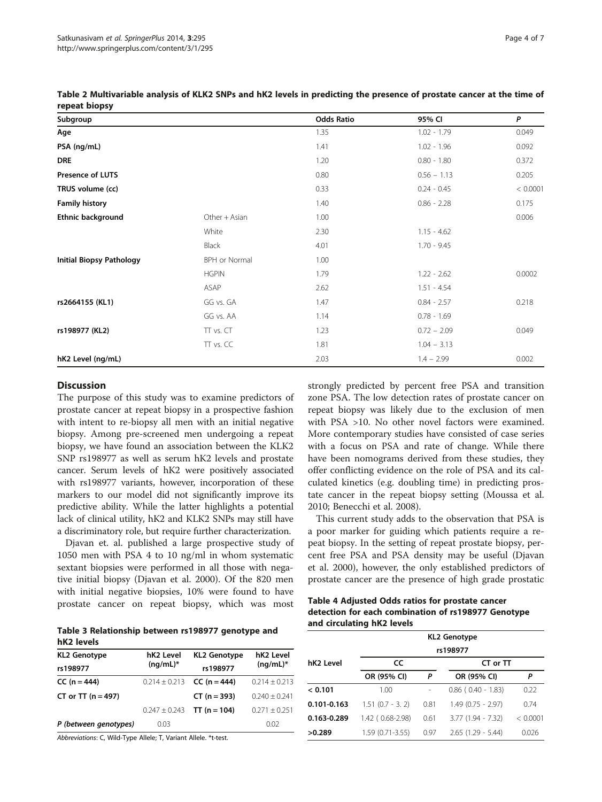| <b>ICPCAL DIOPSY</b>            |               |                   |               |          |
|---------------------------------|---------------|-------------------|---------------|----------|
| Subgroup                        |               | <b>Odds Ratio</b> | 95% CI        | P        |
| Age                             |               | 1.35              | $1.02 - 1.79$ | 0.049    |
| PSA (ng/mL)                     |               | 1.41              | $1.02 - 1.96$ | 0.092    |
| <b>DRE</b>                      |               | 1.20              | $0.80 - 1.80$ | 0.372    |
| <b>Presence of LUTS</b>         |               | 0.80              | $0.56 - 1.13$ | 0.205    |
| TRUS volume (cc)                |               | 0.33              | $0.24 - 0.45$ | < 0.0001 |
| <b>Family history</b>           |               | 1.40              | $0.86 - 2.28$ | 0.175    |
| <b>Ethnic background</b>        | Other + Asian | 1.00              |               | 0.006    |
|                                 | White         | 2.30              | $1.15 - 4.62$ |          |
|                                 | Black         | 4.01              | $1.70 - 9.45$ |          |
| <b>Initial Biopsy Pathology</b> | BPH or Normal | 1.00              |               |          |
|                                 | <b>HGPIN</b>  | 1.79              | $1.22 - 2.62$ | 0.0002   |
|                                 | ASAP          | 2.62              | $1.51 - 4.54$ |          |
| rs2664155 (KL1)                 | GG vs. GA     | 1.47              | $0.84 - 2.57$ | 0.218    |
|                                 | GG vs. AA     | 1.14              | $0.78 - 1.69$ |          |
| rs198977 (KL2)                  | TT vs. CT     | 1.23              | $0.72 - 2.09$ | 0.049    |
|                                 | TT vs. CC     | 1.81              | $1.04 - 3.13$ |          |
| hK2 Level (ng/mL)               |               | 2.03              | $1.4 - 2.99$  | 0.002    |

<span id="page-3-0"></span>Table 2 Multivariable analysis of KLK2 SNPs and hK2 levels in predicting the presence of prostate cancer at the time of repeat biopcy

#### **Discussion**

The purpose of this study was to examine predictors of prostate cancer at repeat biopsy in a prospective fashion with intent to re-biopsy all men with an initial negative biopsy. Among pre-screened men undergoing a repeat biopsy, we have found an association between the KLK2 SNP rs198977 as well as serum hK2 levels and prostate cancer. Serum levels of hK2 were positively associated with rs198977 variants, however, incorporation of these markers to our model did not significantly improve its predictive ability. While the latter highlights a potential lack of clinical utility, hK2 and KLK2 SNPs may still have a discriminatory role, but require further characterization.

Djavan et. al. published a large prospective study of 1050 men with PSA 4 to 10 ng/ml in whom systematic sextant biopsies were performed in all those with negative initial biopsy (Djavan et al. [2000\)](#page-6-0). Of the 820 men with initial negative biopsies, 10% were found to have prostate cancer on repeat biopsy, which was most

Table 3 Relationship between rs198977 genotype and hK2 levels

| <b>KL2 Genotype</b>    | hK <sub>2</sub> Level | <b>KL2 Genotype</b>                   | hK <sub>2</sub> Level |  |
|------------------------|-----------------------|---------------------------------------|-----------------------|--|
| rs198977               | $(nq/mL)^*$           | rs198977                              | $(nq/mL)^*$           |  |
| $CC (n = 444)$         |                       | $0.214 \pm 0.213$ <b>CC (n = 444)</b> | $0.214 \pm 0.213$     |  |
| $CT$ or $TT$ (n = 497) |                       | $CT (n = 393)$                        | $0.240 + 0.241$       |  |
|                        | $0.247 \pm 0.243$     | TT (n = 104)                          | $0.271 + 0.251$       |  |
| P (between genotypes)  | 0.03                  |                                       | 0.02                  |  |
|                        |                       |                                       |                       |  |

Abbreviations: C, Wild-Type Allele; T, Variant Allele. \*t-test.

strongly predicted by percent free PSA and transition zone PSA. The low detection rates of prostate cancer on repeat biopsy was likely due to the exclusion of men with PSA >10. No other novel factors were examined. More contemporary studies have consisted of case series with a focus on PSA and rate of change. While there have been nomograms derived from these studies, they offer conflicting evidence on the role of PSA and its calculated kinetics (e.g. doubling time) in predicting prostate cancer in the repeat biopsy setting (Moussa et al. [2010](#page-6-0); Benecchi et al. [2008](#page-6-0)).

This current study adds to the observation that PSA is a poor marker for guiding which patients require a repeat biopsy. In the setting of repeat prostate biopsy, percent free PSA and PSA density may be useful (Djavan et al. [2000](#page-6-0)), however, the only established predictors of prostate cancer are the presence of high grade prostatic

Table 4 Adjusted Odds ratios for prostate cancer detection for each combination of rs198977 Genotype and circulating hK2 levels

|                 | <b>KL2 Genotype</b> |      |                          |          |  |
|-----------------|---------------------|------|--------------------------|----------|--|
|                 | rs198977            |      |                          |          |  |
| hK2 Level       | CC                  |      | CT or TT                 |          |  |
|                 | OR (95% CI)         | P    | OR (95% CI)              | P        |  |
| < 0.101         | 1.00                |      | $0.86$ ( $0.40 - 1.83$ ) | 0.22     |  |
| $0.101 - 0.163$ | $1.51(0.7 - 3.2)$   | 0.81 | $1.49(0.75 - 2.97)$      | 074      |  |
| 0.163-0.289     | 1.42 (0.68-2.98)    | 0.61 | $3.77(1.94 - 7.32)$      | < 0.0001 |  |
| >0.289          | $1.59(0.71 - 3.55)$ | 0.97 | $2.65(1.29 - 5.44)$      | 0.026    |  |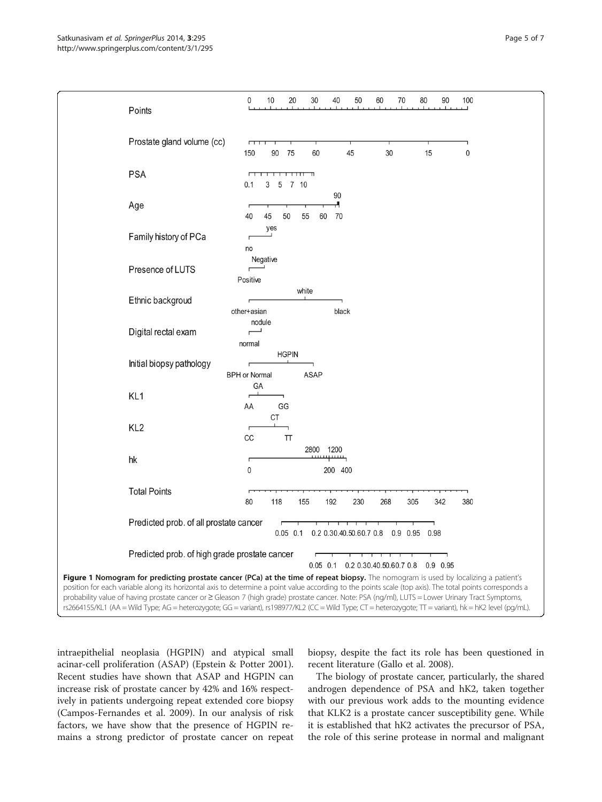<span id="page-4-0"></span>

intraepithelial neoplasia (HGPIN) and atypical small acinar-cell proliferation (ASAP) (Epstein & Potter [2001](#page-6-0)). Recent studies have shown that ASAP and HGPIN can increase risk of prostate cancer by 42% and 16% respectively in patients undergoing repeat extended core biopsy (Campos-Fernandes et al. [2009](#page-6-0)). In our analysis of risk factors, we have show that the presence of HGPIN remains a strong predictor of prostate cancer on repeat

biopsy, despite the fact its role has been questioned in recent literature (Gallo et al. [2008\)](#page-6-0).

The biology of prostate cancer, particularly, the shared androgen dependence of PSA and hK2, taken together with our previous work adds to the mounting evidence that KLK2 is a prostate cancer susceptibility gene. While it is established that hK2 activates the precursor of PSA, the role of this serine protease in normal and malignant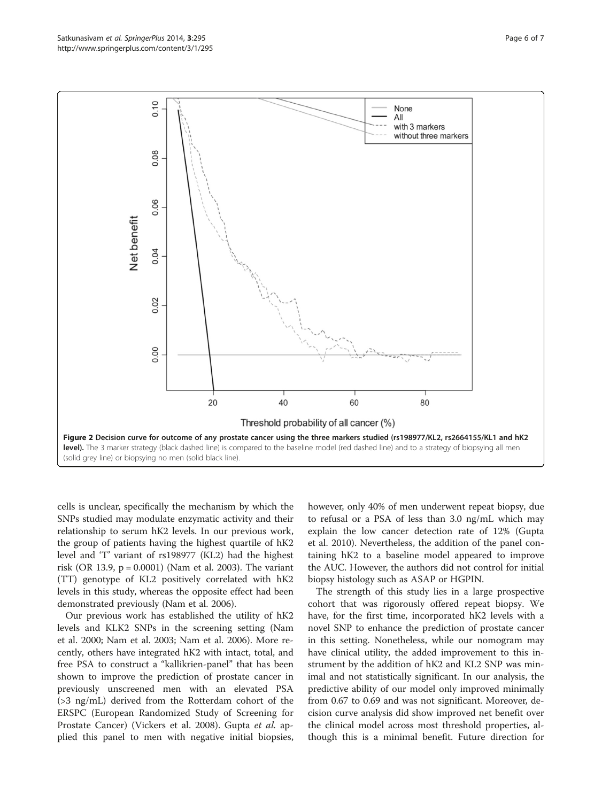<span id="page-5-0"></span>

cells is unclear, specifically the mechanism by which the SNPs studied may modulate enzymatic activity and their relationship to serum hK2 levels. In our previous work, the group of patients having the highest quartile of hK2 level and 'T' variant of rs198977 (KL2) had the highest risk (OR 13.9, p = 0.0001) (Nam et al. [2003](#page-6-0)). The variant (TT) genotype of KL2 positively correlated with hK2 levels in this study, whereas the opposite effect had been demonstrated previously (Nam et al. [2006\)](#page-6-0).

Our previous work has established the utility of hK2 levels and KLK2 SNPs in the screening setting (Nam et al. [2000;](#page-6-0) Nam et al. [2003](#page-6-0); Nam et al. [2006](#page-6-0)). More recently, others have integrated hK2 with intact, total, and free PSA to construct a "kallikrien-panel" that has been shown to improve the prediction of prostate cancer in previously unscreened men with an elevated PSA (>3 ng/mL) derived from the Rotterdam cohort of the ERSPC (European Randomized Study of Screening for Prostate Cancer) (Vickers et al. [2008\)](#page-6-0). Gupta et al. applied this panel to men with negative initial biopsies, however, only 40% of men underwent repeat biopsy, due to refusal or a PSA of less than 3.0 ng/mL which may explain the low cancer detection rate of 12% (Gupta et al. [2010\)](#page-6-0). Nevertheless, the addition of the panel containing hK2 to a baseline model appeared to improve the AUC. However, the authors did not control for initial biopsy histology such as ASAP or HGPIN.

The strength of this study lies in a large prospective cohort that was rigorously offered repeat biopsy. We have, for the first time, incorporated hK2 levels with a novel SNP to enhance the prediction of prostate cancer in this setting. Nonetheless, while our nomogram may have clinical utility, the added improvement to this instrument by the addition of hK2 and KL2 SNP was minimal and not statistically significant. In our analysis, the predictive ability of our model only improved minimally from 0.67 to 0.69 and was not significant. Moreover, decision curve analysis did show improved net benefit over the clinical model across most threshold properties, although this is a minimal benefit. Future direction for